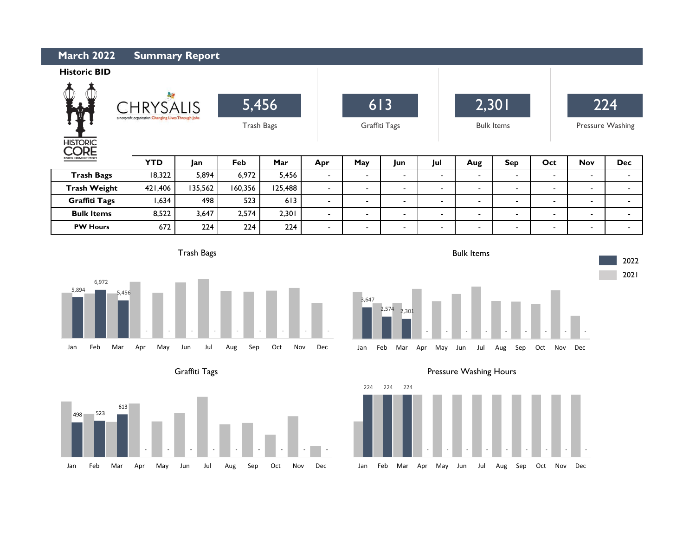| <b>March 2022</b><br><b>Summary Report</b>                                                                                    |            |         |                     |         |                |                      |                          |                |                            |                          |                |                         |            |  |
|-------------------------------------------------------------------------------------------------------------------------------|------------|---------|---------------------|---------|----------------|----------------------|--------------------------|----------------|----------------------------|--------------------------|----------------|-------------------------|------------|--|
| <b>Historic BID</b>                                                                                                           |            |         |                     |         |                |                      |                          |                |                            |                          |                |                         |            |  |
| <b>AND</b><br>茅<br><b>HRYSALIS</b><br>a nonprofit organization Changing Lives Through Jobs<br><b>HISTORIC</b><br>$\mathsf{R}$ |            |         | 5,456<br>Trash Bags |         |                | 613<br>Graffiti Tags |                          |                | 2,301<br><b>Bulk Items</b> |                          |                | 224<br>Pressure Washing |            |  |
| USINESS IMPROVEMENT DISTRIC                                                                                                   | <b>YTD</b> | Jan     | Feb                 | Mar     | Apr            | May                  | Jun                      | Jul            | Aug                        | <b>Sep</b>               | Oct            | <b>Nov</b>              | <b>Dec</b> |  |
| <b>Trash Bags</b>                                                                                                             | 18,322     | 5,894   | 6,972               | 5,456   | $\sim$         | $\blacksquare$       | $\overline{\phantom{0}}$ | -              | $\sim$                     | $\overline{\phantom{a}}$ | $\blacksquare$ | $\blacksquare$          | -          |  |
| <b>Trash Weight</b>                                                                                                           | 421,406    | 135,562 | 160,356             | 125,488 | $\sim$         | $\sim$               | $\overline{\phantom{a}}$ | ۰              | $\sim$                     |                          | ٠              | $\blacksquare$          | ۰.         |  |
| <b>Graffiti Tags</b>                                                                                                          | 1,634      | 498     | 523                 | 613     | ۰.             | $\blacksquare$       | $\overline{\phantom{0}}$ | ۰              | $\sim$                     | $\overline{\phantom{a}}$ | $\blacksquare$ | $\blacksquare$          | ۰          |  |
| <b>Bulk Items</b>                                                                                                             | 8,522      | 3,647   | 2,574               | 2,301   | $\sim$         | $\sim$               | $\blacksquare$           | ۰              | $\sim$                     | $\overline{\phantom{a}}$ | $\blacksquare$ | $\blacksquare$          | -          |  |
| <b>PW Hours</b>                                                                                                               | 672        | 224     | 224                 | 224     | $\blacksquare$ | $\blacksquare$       | -                        | $\blacksquare$ | $\sim$                     | $\overline{\phantom{a}}$ | $\blacksquare$ | $\blacksquare$          | -          |  |

3,647

2,574 2,301

Trash Bags

L



Graffiti Tags





- - - - - - - - -

2022 2021



Bulk Items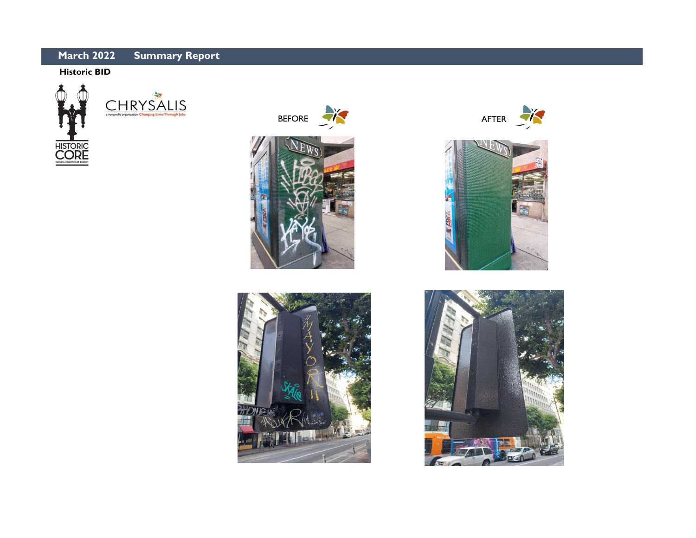## **Summary Report March 2022**

## **Historic BID**